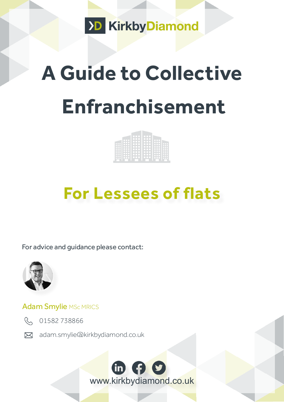

# **A Guide to Collective Enfranchisement**

## **For Lessees of flats**

For advice and guidance please contact:



#### Adam Smylie MSc MRICS



R 01582738866

[adam.smylie@kirkbydiamond.co.uk](http://Adam.smylie@kirkbydiamond.co.uk ) 

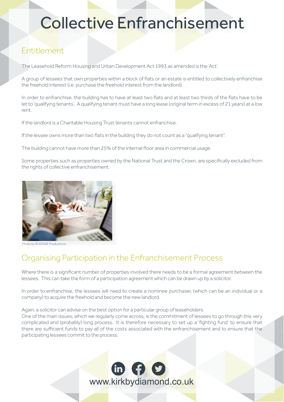### Collective Enfranchisement

#### Entitlement

The Leasehold Reform Housing and Urban Development Act 1993 as amended is the 'Act'.

A group of lessees that own properties within a block of flats or an estate is entitled to collectively enfranchise the freehold interest (i.e. purchase the freehold interest from the landlord).

In order to enfranchise, the building has to have at least two flats and at least two thirds of the flats have to be let to 'qualifying tenants'. A qualifying tenant must have a long lease (original term in excess of 21 years) at a low rent.

If the landlord is a Charitable Housing Trust tenants cannot enfranchise.

If the lessee owns more than two flats in the building they do not count as a "qualifying tenant".

The building cannot have more than 25% of the internal floor area in commercial usage.

Some properties such as properties owned by the National Trust and the Crown, are specifically excluded from the rights of collective enfranchisement.



oto by RODNAE Productions

#### Organising Participation in the Enfranchisement Process

Where there is a significant number of properties involved there needs to be a formal agreement between the lessees. This can take the form of a participation agreement which can be drawn up by a solicitor.

In order to enfranchise, the lessees will need to create a nominee purchaser, (which can be an individual or a company) to acquire the freehold and become the new landlord.

Again, a solicitor can advise on the best option for a particular group of leaseholders.

One of the main issues, which we regularly come across, is the commitment of lessees to go through this very complicated and (probably) long process. It is therefore necessary to set up a 'fighting fund' to ensure that there are sufficient funds to pay all of the costs associated with the enfranchisement and to ensure that the participating lessees commit to the process.